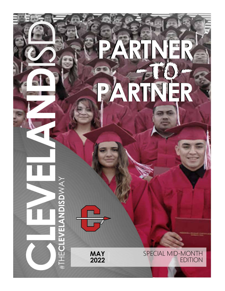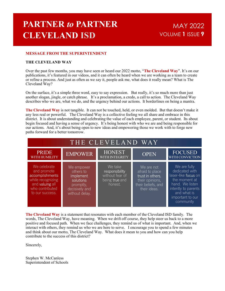# PARTNER to PARTNER CLEVELAND ISD

### MAY 2022 VOLUME 1 ISSUE 9

### MESSAGE FROM THE SUPERINTENDENT

### THE CLEVELAND WAY

The Cleveland Way is a statement that resonates with each member of the Cleveland ISD family. The words, The Cleveland Way, have meaning. When we drift off course, they help steer us back to a more positive and focused path. When we face challenges, they remind us of what is important. And, when we interact with others, they remind us who we are here to serve. I encourage you to spend a few minutes and think about our motto, The Cleveland Way. What does it mean to you and how can you help contribute to the success of this district?

Sincerely,

Stephen W. McCanless Superintendent of Schools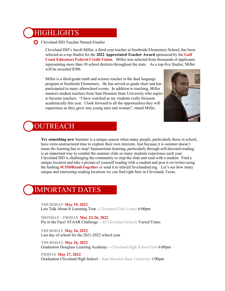### **HIGHLIGHTS**

**O** Cleveland ISD Teacher Named Finalist

Cleveland ISD's Jacob Miller, a third-year teacher at Southside Elementary School, has been selected as a top finalist for the 2022 Appreciated Teacher Award sponsored by the Gulf Coast Educators Federal Credit Union. Miller was selected from thousands of applicants representing more than 30 school districts throughout the state. As a top-five finalist, Miller will be awarded \$500.

Miller is a third-grade math and science teacher in the dual language program at Southside Elementary. He has served as grade chair and has participated in many afterschool events. In addition to teaching, Miller mentors student teachers from Sam Houston State University who aspire to become teachers. "I have watched as my students really blossom academically this year. I look forward to all the opportunities they will experience as they grow into young men and women", stated Miller.



## **OUTREACH**

UTREACH<br>
Try something new Summer is a unique season when many people, particularly those extra unstructured time to explore their own interests. Just because it is summer do<br>
mean the learning has to stop! Summertime lear Try something new Summer is a unique season when many people, particularly those in school, have extra unstructured time to explore their own interests. Just because it is summer doesn't mean the learning has to stop! Summertime learning, particularly through self-directed reading, is an important way to combat the summer slide so many students experience each year. Cleveland ISD is challenging the community to stop the slide and read with a student. Find a unique location and take a picture of yourself reading with a student and post it on twitter using the hashtag #CISDReadsTogether or send it to info@Clevelandisd.org. Let's see how many unique and interesting reading locations we can find right here in Cleveland, Texas.

## IMPORTANT DATES

THURSDAY May 19, 2022 Lets Talk About It Listening Tour - Cleveland Civic Center 6:00pm

Pie in the Face! STAAR Challenge – All Cleveland Schools Varied Times

#### THURSDAY May 26, 2022 Last day of school for the 2021-2022 school year

THURSDAY May 26, 2022 Graduation Douglass Learning Academy – Cleveland High School Gym 6:00pm

FRIDAY May 27, 2022 Graduation Cleveland High School – Sam Houston State University 1:00pm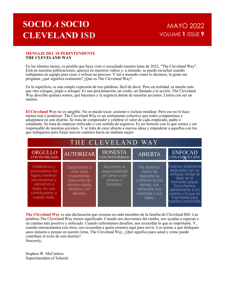# SOCIO A SOCIO CLEVELAND ISD

### MAYO 2022 VOLUME 1 ISSUE 9

#### MENSAJE DEL SUPERINTENDENTE THE CLEVELAND WAY

**SOCIO A SOCIO** MAYO 2022<br> **CLEVELAND ISD** WOLUME 1 ISSUE **9**<br>
MENSAJE DEL SUPERINTENDENTE<br>
FINE CLEVELAND WAY<br>
En los últimos meses, es posible que haya visto o escuchado nuestro lema de 2022, "The Cleveland Way".<br>
En los Está en nuestras publicaciones, aparece en nuestros videos y, a menudo, se puede escuchar cuando trabajamos en equipo para crear o refinar un proceso. Y tan a menudo como lo decimos, la gente me **SOCIO A SOCIO** MAYO 2022<br> **CLEVELAND ISD** WOLUME 1 ISSUE 9<br>
MENSAJE DEL SUPERINTENDENTE<br>
THE CLEVELAND MAY<br>
En los últimos meses, es posible que haya visto o escuchado nuestro lema de 2022, "The Cleveland Way".<br>
En los úl **SOCIO A SOCIO** MAYO 2022<br> **CLEVELAND ISD** VOLUME 1 ISSUE **?**<br>
MENSAJE DEL SUPERINTENDENTE.<br>
THE CLEVELAND WAY<br>
End so this most requiped para visto o escrebado mestro lema de 2022, "The Cleveland Way".<br>
Está en nuestras **SOCIO A SOCIO** MAYO 2022<br>
CLEVELAND ISD SOCIO MAYO 2022<br>
WENSAJE DEL SUPERINTENDENTE<br>
THE CLEVELAND WAY<br>
End to this discussion sequence of measures wideo o seculade outerto lean de 2022, <sup>The</sup> Cleveland Way".<br>
End is di

El Cleveland Way no es tangible. No se puede tocar, sostener o incluso moldear. Pero eso no lo hace menos real o poderoso. The Cleveland Way es un sentimiento colectivo que todos compartimos y **SOCIO A SOCIO** MAYO 2022<br> **MENSAL DEL SUPERINTENDENTE**<br> **MENSAL DEL SUPERINTENDENTE**<br> **THE CLEVELAND WAY**<br>
En los últimos messes, es posible que haya visto o escuelando nuestro lema de 2022, "The Cleveland Way".<br>
Ensi en adoptamos en este distrito. Se trata de comprender y celebrar el valor de cada empleado, padre o estudiante. Se trata de empezar enfocado y con sentido de urgencia. Es ser honesto con lo que somos y ser responsable de nuestras acciones. Y se trata de estar abierto a nuevas ideas y empoderar a aquellos con los que trabajamos para forjar nuevos caminos hacia un mañana mejor.

| <b>MENSAJE DEL SUPERINTENDENTE</b><br><b>THE CLEVELAND WAY</b>                                                                                                                                                                                                                                                                                                                                                                                                                                                                                                                                  |                                                                                                                                                                                                                                                                                                                                                                                                                                                                                                                                                                                                         |                                                                             |                                                                                                                         |                                                                                                                                                                                                  |
|-------------------------------------------------------------------------------------------------------------------------------------------------------------------------------------------------------------------------------------------------------------------------------------------------------------------------------------------------------------------------------------------------------------------------------------------------------------------------------------------------------------------------------------------------------------------------------------------------|---------------------------------------------------------------------------------------------------------------------------------------------------------------------------------------------------------------------------------------------------------------------------------------------------------------------------------------------------------------------------------------------------------------------------------------------------------------------------------------------------------------------------------------------------------------------------------------------------------|-----------------------------------------------------------------------------|-------------------------------------------------------------------------------------------------------------------------|--------------------------------------------------------------------------------------------------------------------------------------------------------------------------------------------------|
| En los últimos meses, es posible que haya visto o escuchado nuestro lema de 2022, "The Cleveland Way".<br>Está en nuestras publicaciones, aparece en nuestros videos y, a menudo, se puede escuchar cuando<br>trabajamos en equipo para crear o refinar un proceso. Y tan a menudo como lo decimos, la gente me<br>pregunta, ¿qué significa realmente? ¿Qué es The Cleveland Way?                                                                                                                                                                                                               |                                                                                                                                                                                                                                                                                                                                                                                                                                                                                                                                                                                                         |                                                                             |                                                                                                                         |                                                                                                                                                                                                  |
| mantra.                                                                                                                                                                                                                                                                                                                                                                                                                                                                                                                                                                                         | En la superficie, es una simple expresión de tres palabras, fácil de decir. Pero en realidad, es mucho más<br>que otro eslogan, jingle o eslogan. Es una proclamación, un credo, un llamado a la acción. The Cleveland<br>Way describe quiénes somos, qué hacemos y la urgencia detrás de nuestras acciones. Limita con ser un                                                                                                                                                                                                                                                                          |                                                                             |                                                                                                                         |                                                                                                                                                                                                  |
|                                                                                                                                                                                                                                                                                                                                                                                                                                                                                                                                                                                                 | El Cleveland Way no es tangible. No se puede tocar, sostener o incluso moldear. Pero eso no lo hace<br>menos real o poderoso. The Cleveland Way es un sentimiento colectivo que todos compartimos y<br>adoptamos en este distrito. Se trata de comprender y celebrar el valor de cada empleado, padre o<br>estudiante. Se trata de empezar enfocado y con sentido de urgencia. Es ser honesto con lo que somos y ser<br>responsable de nuestras acciones. Y se trata de estar abierto a nuevas ideas y empoderar a aquellos con los<br>que trabajamos para forjar nuevos caminos hacia un mañana mejor. |                                                                             |                                                                                                                         |                                                                                                                                                                                                  |
|                                                                                                                                                                                                                                                                                                                                                                                                                                                                                                                                                                                                 |                                                                                                                                                                                                                                                                                                                                                                                                                                                                                                                                                                                                         | THE CLEVELAND WAY                                                           |                                                                                                                         |                                                                                                                                                                                                  |
| ORGULLO<br><b>CON HUMILDAD</b>                                                                                                                                                                                                                                                                                                                                                                                                                                                                                                                                                                  | <b>AUTORIZAR</b>                                                                                                                                                                                                                                                                                                                                                                                                                                                                                                                                                                                        | <b>HONESTA</b><br>CON INTEGRIDAD                                            | <b>ABIERTA</b>                                                                                                          | <b>ENFOCAD</b><br>CON CONVICCIÓN                                                                                                                                                                 |
| Celebramos y<br>promovemos los<br>logros mientras<br>reconocemos y<br>valoramos a<br>todos los que<br>contribuyeron a<br>nuestro éxito.                                                                                                                                                                                                                                                                                                                                                                                                                                                         | Capacitamos a<br>otros para<br>implementar<br>soluciones de<br>manera rápida,<br>decisiva y sin<br>demora.                                                                                                                                                                                                                                                                                                                                                                                                                                                                                              | Asumimos la<br>responsabilidad<br>sin temor a ser<br>veraces y<br>honestos. | No tenemos<br>miedo de<br>depositar la<br>confianza en los<br>demás, sus<br>opiniones, sus<br>creencias y sus<br>ideas. | Estamos totalmente<br>dedicados con un<br>enfoque similar al<br>láser en el<br>momento actual.<br>Escuchamos<br>atentamente a los<br>padres y lo que es<br>importante para<br>nuestra comunidad. |
| The Cleveland Way es una declaración que resuena en cada miembro de la familia de Cleveland ISD. Las<br>palabras The Cleveland Way tienen significado. Cuando nos desviamos del rumbo, nos ayudan a regresar a<br>un camino más positivo y enfocado. Cuando enfrentamos desafíos, nos recuerdan lo que es importante. Y,<br>cuando interactuamos con otros, nos recuerdan a quién estamos aquí para servir. Los animo a que dediquen<br>unos minutos a pensar en nuestro lema, The Cleveland Way. ¿Qué significa para usted y cómo puede<br>contribuir al éxito de este distrito?<br>Sincerely, |                                                                                                                                                                                                                                                                                                                                                                                                                                                                                                                                                                                                         |                                                                             |                                                                                                                         |                                                                                                                                                                                                  |
| Stephen W. McCanless                                                                                                                                                                                                                                                                                                                                                                                                                                                                                                                                                                            |                                                                                                                                                                                                                                                                                                                                                                                                                                                                                                                                                                                                         |                                                                             |                                                                                                                         |                                                                                                                                                                                                  |

Stephen W. McCanless Superintendent of Schools